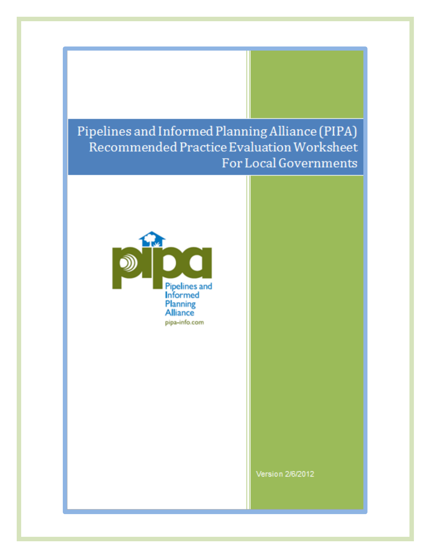# Pipelines and Informed Planning Alliance (PIPA) Recommended Practice Evaluation Worksheet For Local Governments



Version 2/6/2012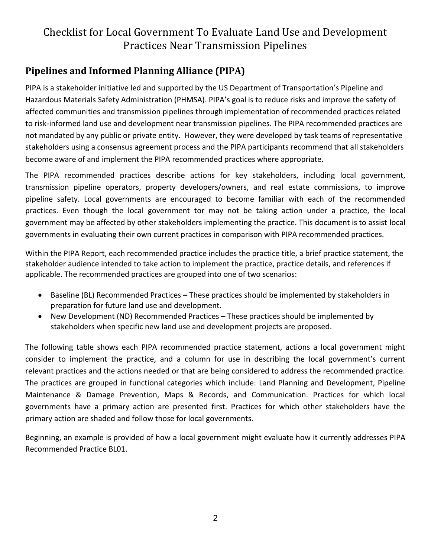#### **Pipelines and Informed Planning Alliance (PIPA)**

PIPA is a stakeholder initiative led and supported by the US Department of Transportation's Pipeline and Hazardous Materials Safety Administration (PHMSA). PIPA's goal is to reduce risks and improve the safety of affected communities and transmission pipelines through implementation of recommended practices related to risk-informed land use and development near transmission pipelines. The PIPA recommended practices are not mandated by any public or private entity. However, they were developed by task teams of representative stakeholders using a consensus agreement process and the PIPA participants recommend that all stakeholders become aware of and implement the PIPA recommended practices where appropriate.

The PIPA recommended practices describe actions for key stakeholders, including local government, transmission pipeline operators, property developers/owners, and real estate commissions, to improve pipeline safety. Local governments are encouraged to become familiar with each of the recommended practices. Even though the local government tor may not be taking action under a practice, the local government may be affected by other stakeholders implementing the practice. This document is to assist local governments in evaluating their own current practices in comparison with PIPA recommended practices.

Within the PIPA Report, each recommended practice includes the practice title, a brief practice statement, the stakeholder audience intended to take action to implement the practice, practice details, and references if applicable. The recommended practices are grouped into one of two scenarios:

- Baseline (BL) Recommended Practices **–** These practices should be implemented by stakeholders in preparation for future land use and development.
- New Development (ND) Recommended Practices *–* These practices should be implemented by stakeholders when specific new land use and development projects are proposed.

The following table shows each PIPA recommended practice statement, actions a local government might consider to implement the practice, and a column for use in describing the local government's current relevant practices and the actions needed or that are being considered to address the recommended practice. The practices are grouped in functional categories which include: Land Planning and Development, Pipeline Maintenance & Damage Prevention, Maps & Records, and Communication. Practices for which local governments have a primary action are presented first. Practices for which other stakeholders have the primary action are shaded and follow those for local governments.

Beginning, an example is provided of how a local government might evaluate how it currently addresses PIPA Recommended Practice BL01.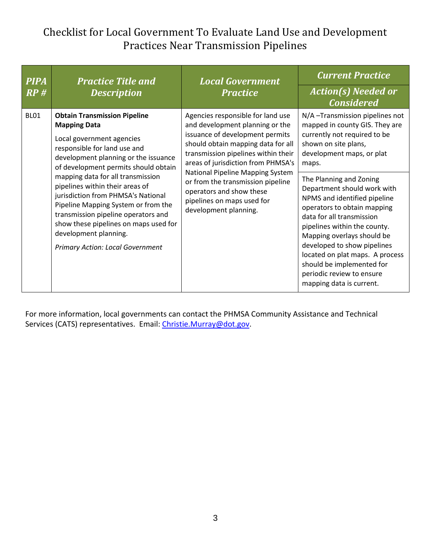| <b>PIPA</b><br>RP# | <b>Practice Title and</b><br><b>Description</b>                                                                                                                                                                                                                                                                                                                                                                                                                                                                  | <b>Local Government</b><br><b>Practice</b>                                                                                                                                                                                                                                                                                                                                             | <b>Current Practice</b><br><b>Action(s) Needed or</b><br><b>Considered</b>                                                                                                                                                                                                                                                                                                                                                                                                                                                                 |
|--------------------|------------------------------------------------------------------------------------------------------------------------------------------------------------------------------------------------------------------------------------------------------------------------------------------------------------------------------------------------------------------------------------------------------------------------------------------------------------------------------------------------------------------|----------------------------------------------------------------------------------------------------------------------------------------------------------------------------------------------------------------------------------------------------------------------------------------------------------------------------------------------------------------------------------------|--------------------------------------------------------------------------------------------------------------------------------------------------------------------------------------------------------------------------------------------------------------------------------------------------------------------------------------------------------------------------------------------------------------------------------------------------------------------------------------------------------------------------------------------|
| <b>BL01</b>        | <b>Obtain Transmission Pipeline</b><br><b>Mapping Data</b><br>Local government agencies<br>responsible for land use and<br>development planning or the issuance<br>of development permits should obtain<br>mapping data for all transmission<br>pipelines within their areas of<br>jurisdiction from PHMSA's National<br>Pipeline Mapping System or from the<br>transmission pipeline operators and<br>show these pipelines on maps used for<br>development planning.<br><b>Primary Action: Local Government</b> | Agencies responsible for land use<br>and development planning or the<br>issuance of development permits<br>should obtain mapping data for all<br>transmission pipelines within their<br>areas of jurisdiction from PHMSA's<br>National Pipeline Mapping System<br>or from the transmission pipeline<br>operators and show these<br>pipelines on maps used for<br>development planning. | N/A-Transmission pipelines not<br>mapped in county GIS. They are<br>currently not required to be<br>shown on site plans,<br>development maps, or plat<br>maps.<br>The Planning and Zoning<br>Department should work with<br>NPMS and identified pipeline<br>operators to obtain mapping<br>data for all transmission<br>pipelines within the county.<br>Mapping overlays should be<br>developed to show pipelines<br>located on plat maps. A process<br>should be implemented for<br>periodic review to ensure<br>mapping data is current. |

For more information, local governments can contact the [PHMSA Community Assistance and Technical](http://primis.phmsa.dot.gov/comm/CATS.htm?nocache=4912)  [Services \(CATS\) representatives.](http://primis.phmsa.dot.gov/comm/CATS.htm?nocache=4912) Email: [Christie.Murray@dot.gov.](mailto:Christie.Murray@dot.gov)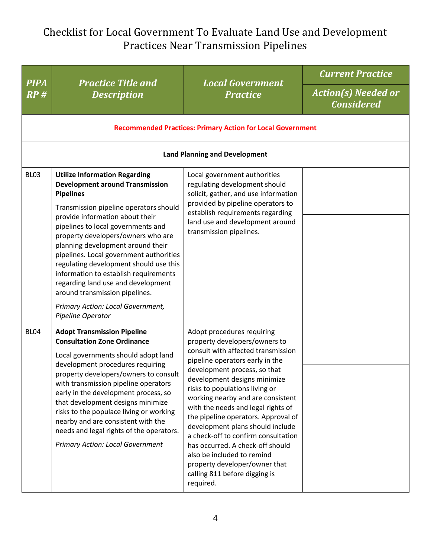| <b>PIPA</b><br>RP# | <b>Practice Title and</b><br><b>Description</b>                                                                                                                                                                                                                                                                                                                                                                                                                                                                                                                  | <b>Local Government</b><br><b>Practice</b>                                                                                                                                                                                                                                                                                                                                                                                                                                                                                                                                           | <b>Current Practice</b>                         |
|--------------------|------------------------------------------------------------------------------------------------------------------------------------------------------------------------------------------------------------------------------------------------------------------------------------------------------------------------------------------------------------------------------------------------------------------------------------------------------------------------------------------------------------------------------------------------------------------|--------------------------------------------------------------------------------------------------------------------------------------------------------------------------------------------------------------------------------------------------------------------------------------------------------------------------------------------------------------------------------------------------------------------------------------------------------------------------------------------------------------------------------------------------------------------------------------|-------------------------------------------------|
|                    |                                                                                                                                                                                                                                                                                                                                                                                                                                                                                                                                                                  |                                                                                                                                                                                                                                                                                                                                                                                                                                                                                                                                                                                      | <b>Action(s) Needed or</b><br><b>Considered</b> |
|                    |                                                                                                                                                                                                                                                                                                                                                                                                                                                                                                                                                                  | <b>Recommended Practices: Primary Action for Local Government</b>                                                                                                                                                                                                                                                                                                                                                                                                                                                                                                                    |                                                 |
|                    |                                                                                                                                                                                                                                                                                                                                                                                                                                                                                                                                                                  | <b>Land Planning and Development</b>                                                                                                                                                                                                                                                                                                                                                                                                                                                                                                                                                 |                                                 |
| BL <sub>03</sub>   | <b>Utilize Information Regarding</b><br><b>Development around Transmission</b><br><b>Pipelines</b><br>Transmission pipeline operators should<br>provide information about their<br>pipelines to local governments and<br>property developers/owners who are<br>planning development around their<br>pipelines. Local government authorities<br>regulating development should use this<br>information to establish requirements<br>regarding land use and development<br>around transmission pipelines.<br>Primary Action: Local Government,<br>Pipeline Operator | Local government authorities<br>regulating development should<br>solicit, gather, and use information<br>provided by pipeline operators to<br>establish requirements regarding<br>land use and development around<br>transmission pipelines.                                                                                                                                                                                                                                                                                                                                         |                                                 |
| BL <sub>04</sub>   | <b>Adopt Transmission Pipeline</b><br><b>Consultation Zone Ordinance</b><br>Local governments should adopt land<br>development procedures requiring<br>property developers/owners to consult<br>with transmission pipeline operators<br>early in the development process, so<br>that development designs minimize<br>risks to the populace living or working<br>nearby and are consistent with the<br>needs and legal rights of the operators.<br><b>Primary Action: Local Government</b>                                                                        | Adopt procedures requiring<br>property developers/owners to<br>consult with affected transmission<br>pipeline operators early in the<br>development process, so that<br>development designs minimize<br>risks to populations living or<br>working nearby and are consistent<br>with the needs and legal rights of<br>the pipeline operators. Approval of<br>development plans should include<br>a check-off to confirm consultation<br>has occurred. A check-off should<br>also be included to remind<br>property developer/owner that<br>calling 811 before digging is<br>required. |                                                 |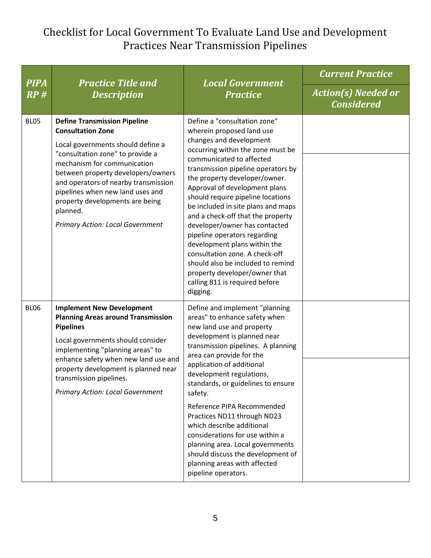| <b>PIPA</b> | <b>Practice Title and</b><br><b>Description</b>                                                                                                                                                                                                                                                                                                                                     | <b>Local Government</b><br><b>Practice</b>                                                                                                                                                                                                                                                                                                                                                                                                                                                                                                                                                                                           | <b>Current Practice</b>                         |
|-------------|-------------------------------------------------------------------------------------------------------------------------------------------------------------------------------------------------------------------------------------------------------------------------------------------------------------------------------------------------------------------------------------|--------------------------------------------------------------------------------------------------------------------------------------------------------------------------------------------------------------------------------------------------------------------------------------------------------------------------------------------------------------------------------------------------------------------------------------------------------------------------------------------------------------------------------------------------------------------------------------------------------------------------------------|-------------------------------------------------|
| RP#         |                                                                                                                                                                                                                                                                                                                                                                                     |                                                                                                                                                                                                                                                                                                                                                                                                                                                                                                                                                                                                                                      | <b>Action(s) Needed or</b><br><b>Considered</b> |
| <b>BL05</b> | <b>Define Transmission Pipeline</b><br><b>Consultation Zone</b><br>Local governments should define a<br>"consultation zone" to provide a<br>mechanism for communication<br>between property developers/owners<br>and operators of nearby transmission<br>pipelines when new land uses and<br>property developments are being<br>planned.<br><b>Primary Action: Local Government</b> | Define a "consultation zone"<br>wherein proposed land use<br>changes and development<br>occurring within the zone must be<br>communicated to affected<br>transmission pipeline operators by<br>the property developer/owner.<br>Approval of development plans<br>should require pipeline locations<br>be included in site plans and maps<br>and a check-off that the property<br>developer/owner has contacted<br>pipeline operators regarding<br>development plans within the<br>consultation zone. A check-off<br>should also be included to remind<br>property developer/owner that<br>calling 811 is required before<br>digging. |                                                 |
| <b>BL06</b> | <b>Implement New Development</b><br><b>Planning Areas around Transmission</b><br><b>Pipelines</b><br>Local governments should consider<br>implementing "planning areas" to<br>enhance safety when new land use and<br>property development is planned near<br>transmission pipelines.<br><b>Primary Action: Local Government</b>                                                    | Define and implement "planning<br>areas" to enhance safety when<br>new land use and property<br>development is planned near<br>transmission pipelines. A planning<br>area can provide for the<br>application of additional<br>development regulations,<br>standards, or guidelines to ensure<br>safety.<br>Reference PIPA Recommended<br>Practices ND11 through ND23                                                                                                                                                                                                                                                                 |                                                 |
|             |                                                                                                                                                                                                                                                                                                                                                                                     | which describe additional<br>considerations for use within a<br>planning area. Local governments<br>should discuss the development of<br>planning areas with affected<br>pipeline operators.                                                                                                                                                                                                                                                                                                                                                                                                                                         |                                                 |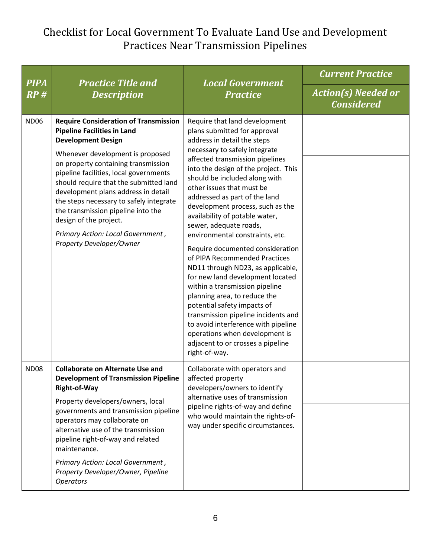| <b>PIPA</b> | <b>Practice Title and</b><br><b>Description</b>                                                                                                                                                                                                                                                                                                                                                                                                                                                   | <b>Local Government</b><br><b>Practice</b>                                                                                                                                                                                                                                                                                                                                                                                                                                                                                                                                                                                                                                                                                                                                                                                                                      | <b>Current Practice</b>                         |
|-------------|---------------------------------------------------------------------------------------------------------------------------------------------------------------------------------------------------------------------------------------------------------------------------------------------------------------------------------------------------------------------------------------------------------------------------------------------------------------------------------------------------|-----------------------------------------------------------------------------------------------------------------------------------------------------------------------------------------------------------------------------------------------------------------------------------------------------------------------------------------------------------------------------------------------------------------------------------------------------------------------------------------------------------------------------------------------------------------------------------------------------------------------------------------------------------------------------------------------------------------------------------------------------------------------------------------------------------------------------------------------------------------|-------------------------------------------------|
| RP#         |                                                                                                                                                                                                                                                                                                                                                                                                                                                                                                   |                                                                                                                                                                                                                                                                                                                                                                                                                                                                                                                                                                                                                                                                                                                                                                                                                                                                 | <b>Action(s) Needed or</b><br><b>Considered</b> |
| <b>ND06</b> | <b>Require Consideration of Transmission</b><br><b>Pipeline Facilities in Land</b><br><b>Development Design</b><br>Whenever development is proposed<br>on property containing transmission<br>pipeline facilities, local governments<br>should require that the submitted land<br>development plans address in detail<br>the steps necessary to safely integrate<br>the transmission pipeline into the<br>design of the project.<br>Primary Action: Local Government,<br>Property Developer/Owner | Require that land development<br>plans submitted for approval<br>address in detail the steps<br>necessary to safely integrate<br>affected transmission pipelines<br>into the design of the project. This<br>should be included along with<br>other issues that must be<br>addressed as part of the land<br>development process, such as the<br>availability of potable water,<br>sewer, adequate roads,<br>environmental constraints, etc.<br>Require documented consideration<br>of PIPA Recommended Practices<br>ND11 through ND23, as applicable,<br>for new land development located<br>within a transmission pipeline<br>planning area, to reduce the<br>potential safety impacts of<br>transmission pipeline incidents and<br>to avoid interference with pipeline<br>operations when development is<br>adjacent to or crosses a pipeline<br>right-of-way. |                                                 |
| <b>ND08</b> | <b>Collaborate on Alternate Use and</b><br><b>Development of Transmission Pipeline</b><br>Right-of-Way<br>Property developers/owners, local<br>governments and transmission pipeline<br>operators may collaborate on<br>alternative use of the transmission<br>pipeline right-of-way and related<br>maintenance.<br>Primary Action: Local Government,<br>Property Developer/Owner, Pipeline<br><b>Operators</b>                                                                                   | Collaborate with operators and<br>affected property<br>developers/owners to identify<br>alternative uses of transmission<br>pipeline rights-of-way and define<br>who would maintain the rights-of-<br>way under specific circumstances.                                                                                                                                                                                                                                                                                                                                                                                                                                                                                                                                                                                                                         |                                                 |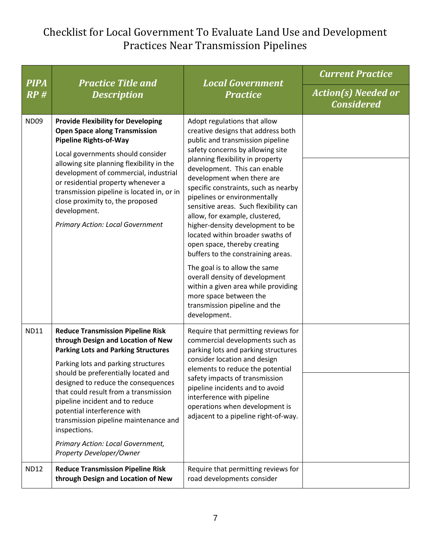| <b>PIPA</b> | <b>Practice Title and</b><br><b>Description</b>                                                                                                                                                                                                                                                                                                                                                                                                                                         | <b>Local Government</b><br><b>Practice</b>                                                                                                                                                                                                                                                                                                                                                                                                                                                                                                                                                                                                                                                                                         | <b>Current Practice</b>                         |
|-------------|-----------------------------------------------------------------------------------------------------------------------------------------------------------------------------------------------------------------------------------------------------------------------------------------------------------------------------------------------------------------------------------------------------------------------------------------------------------------------------------------|------------------------------------------------------------------------------------------------------------------------------------------------------------------------------------------------------------------------------------------------------------------------------------------------------------------------------------------------------------------------------------------------------------------------------------------------------------------------------------------------------------------------------------------------------------------------------------------------------------------------------------------------------------------------------------------------------------------------------------|-------------------------------------------------|
| RP#         |                                                                                                                                                                                                                                                                                                                                                                                                                                                                                         |                                                                                                                                                                                                                                                                                                                                                                                                                                                                                                                                                                                                                                                                                                                                    | <b>Action(s) Needed or</b><br><b>Considered</b> |
| <b>ND09</b> | <b>Provide Flexibility for Developing</b><br><b>Open Space along Transmission</b><br><b>Pipeline Rights-of-Way</b><br>Local governments should consider<br>allowing site planning flexibility in the<br>development of commercial, industrial<br>or residential property whenever a<br>transmission pipeline is located in, or in<br>close proximity to, the proposed<br>development.<br><b>Primary Action: Local Government</b>                                                        | Adopt regulations that allow<br>creative designs that address both<br>public and transmission pipeline<br>safety concerns by allowing site<br>planning flexibility in property<br>development. This can enable<br>development when there are<br>specific constraints, such as nearby<br>pipelines or environmentally<br>sensitive areas. Such flexibility can<br>allow, for example, clustered,<br>higher-density development to be<br>located within broader swaths of<br>open space, thereby creating<br>buffers to the constraining areas.<br>The goal is to allow the same<br>overall density of development<br>within a given area while providing<br>more space between the<br>transmission pipeline and the<br>development. |                                                 |
| <b>ND11</b> | <b>Reduce Transmission Pipeline Risk</b><br>through Design and Location of New<br><b>Parking Lots and Parking Structures</b><br>Parking lots and parking structures<br>should be preferentially located and<br>designed to reduce the consequences<br>that could result from a transmission<br>pipeline incident and to reduce<br>potential interference with<br>transmission pipeline maintenance and<br>inspections.<br>Primary Action: Local Government,<br>Property Developer/Owner | Require that permitting reviews for<br>commercial developments such as<br>parking lots and parking structures<br>consider location and design<br>elements to reduce the potential<br>safety impacts of transmission<br>pipeline incidents and to avoid<br>interference with pipeline<br>operations when development is<br>adjacent to a pipeline right-of-way.                                                                                                                                                                                                                                                                                                                                                                     |                                                 |
| <b>ND12</b> | <b>Reduce Transmission Pipeline Risk</b><br>through Design and Location of New                                                                                                                                                                                                                                                                                                                                                                                                          | Require that permitting reviews for<br>road developments consider                                                                                                                                                                                                                                                                                                                                                                                                                                                                                                                                                                                                                                                                  |                                                 |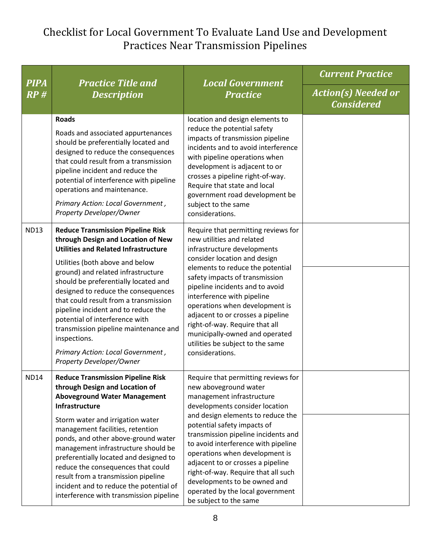| <b>PIPA</b> | <b>Practice Title and</b><br><b>Description</b>                                                                                                                                                                                                                                                                                                                                                  | <b>Local Government</b><br><b>Practice</b>                                                                                                                                                                                                                                                                                                                  | <b>Current Practice</b>                         |
|-------------|--------------------------------------------------------------------------------------------------------------------------------------------------------------------------------------------------------------------------------------------------------------------------------------------------------------------------------------------------------------------------------------------------|-------------------------------------------------------------------------------------------------------------------------------------------------------------------------------------------------------------------------------------------------------------------------------------------------------------------------------------------------------------|-------------------------------------------------|
| RP#         |                                                                                                                                                                                                                                                                                                                                                                                                  |                                                                                                                                                                                                                                                                                                                                                             | <b>Action(s) Needed or</b><br><b>Considered</b> |
|             | <b>Roads</b><br>Roads and associated appurtenances<br>should be preferentially located and<br>designed to reduce the consequences<br>that could result from a transmission<br>pipeline incident and reduce the<br>potential of interference with pipeline<br>operations and maintenance.<br>Primary Action: Local Government,<br>Property Developer/Owner                                        | location and design elements to<br>reduce the potential safety<br>impacts of transmission pipeline<br>incidents and to avoid interference<br>with pipeline operations when<br>development is adjacent to or<br>crosses a pipeline right-of-way.<br>Require that state and local<br>government road development be<br>subject to the same<br>considerations. |                                                 |
| <b>ND13</b> | <b>Reduce Transmission Pipeline Risk</b><br>through Design and Location of New<br><b>Utilities and Related Infrastructure</b>                                                                                                                                                                                                                                                                    | Require that permitting reviews for<br>new utilities and related<br>infrastructure developments<br>consider location and design                                                                                                                                                                                                                             |                                                 |
|             | Utilities (both above and below<br>ground) and related infrastructure<br>should be preferentially located and<br>designed to reduce the consequences<br>that could result from a transmission<br>pipeline incident and to reduce the<br>potential of interference with<br>transmission pipeline maintenance and<br>inspections.<br>Primary Action: Local Government,<br>Property Developer/Owner | elements to reduce the potential<br>safety impacts of transmission<br>pipeline incidents and to avoid<br>interference with pipeline<br>operations when development is<br>adjacent to or crosses a pipeline<br>right-of-way. Require that all<br>municipally-owned and operated<br>utilities be subject to the same<br>considerations.                       |                                                 |
| <b>ND14</b> | <b>Reduce Transmission Pipeline Risk</b><br>through Design and Location of<br><b>Aboveground Water Management</b><br>Infrastructure                                                                                                                                                                                                                                                              | Require that permitting reviews for<br>new aboveground water<br>management infrastructure<br>developments consider location                                                                                                                                                                                                                                 |                                                 |
|             | Storm water and irrigation water<br>management facilities, retention<br>ponds, and other above-ground water<br>management infrastructure should be<br>preferentially located and designed to<br>reduce the consequences that could<br>result from a transmission pipeline<br>incident and to reduce the potential of<br>interference with transmission pipeline                                  | and design elements to reduce the<br>potential safety impacts of<br>transmission pipeline incidents and<br>to avoid interference with pipeline<br>operations when development is<br>adjacent to or crosses a pipeline<br>right-of-way. Require that all such<br>developments to be owned and<br>operated by the local government<br>be subject to the same  |                                                 |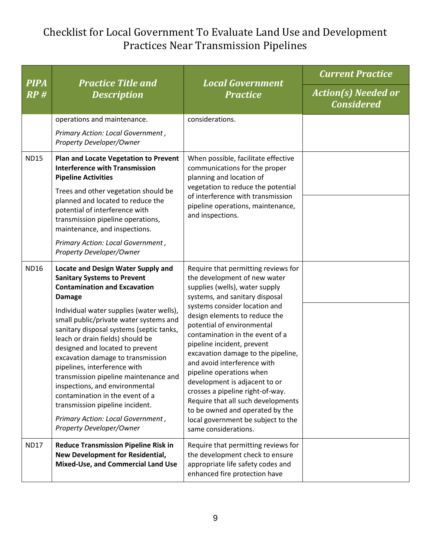| <b>PIPA</b> | <b>Practice Title and</b><br><b>Description</b>                                                                                                                                                                                                                                                                                                                                                                                                                                              | <b>Local Government</b><br><b>Practice</b>                                                                                                                                                                                                                                                                                                                                                                                                | <b>Current Practice</b>                         |
|-------------|----------------------------------------------------------------------------------------------------------------------------------------------------------------------------------------------------------------------------------------------------------------------------------------------------------------------------------------------------------------------------------------------------------------------------------------------------------------------------------------------|-------------------------------------------------------------------------------------------------------------------------------------------------------------------------------------------------------------------------------------------------------------------------------------------------------------------------------------------------------------------------------------------------------------------------------------------|-------------------------------------------------|
| RP#         |                                                                                                                                                                                                                                                                                                                                                                                                                                                                                              |                                                                                                                                                                                                                                                                                                                                                                                                                                           | <b>Action(s) Needed or</b><br><b>Considered</b> |
|             | operations and maintenance.                                                                                                                                                                                                                                                                                                                                                                                                                                                                  | considerations.                                                                                                                                                                                                                                                                                                                                                                                                                           |                                                 |
|             | Primary Action: Local Government,<br>Property Developer/Owner                                                                                                                                                                                                                                                                                                                                                                                                                                |                                                                                                                                                                                                                                                                                                                                                                                                                                           |                                                 |
| <b>ND15</b> | <b>Plan and Locate Vegetation to Prevent</b><br><b>Interference with Transmission</b><br><b>Pipeline Activities</b>                                                                                                                                                                                                                                                                                                                                                                          | When possible, facilitate effective<br>communications for the proper<br>planning and location of                                                                                                                                                                                                                                                                                                                                          |                                                 |
|             | Trees and other vegetation should be<br>planned and located to reduce the<br>potential of interference with<br>transmission pipeline operations,<br>maintenance, and inspections.                                                                                                                                                                                                                                                                                                            | vegetation to reduce the potential<br>of interference with transmission<br>pipeline operations, maintenance,<br>and inspections.                                                                                                                                                                                                                                                                                                          |                                                 |
|             | Primary Action: Local Government,<br>Property Developer/Owner                                                                                                                                                                                                                                                                                                                                                                                                                                |                                                                                                                                                                                                                                                                                                                                                                                                                                           |                                                 |
| <b>ND16</b> | <b>Locate and Design Water Supply and</b><br><b>Sanitary Systems to Prevent</b><br><b>Contamination and Excavation</b><br><b>Damage</b>                                                                                                                                                                                                                                                                                                                                                      | Require that permitting reviews for<br>the development of new water<br>supplies (wells), water supply<br>systems, and sanitary disposal<br>systems consider location and                                                                                                                                                                                                                                                                  |                                                 |
|             | Individual water supplies (water wells),<br>small public/private water systems and<br>sanitary disposal systems (septic tanks,<br>leach or drain fields) should be<br>designed and located to prevent<br>excavation damage to transmission<br>pipelines, interference with<br>transmission pipeline maintenance and<br>inspections, and environmental<br>contamination in the event of a<br>transmission pipeline incident.<br>Primary Action: Local Government,<br>Property Developer/Owner | design elements to reduce the<br>potential of environmental<br>contamination in the event of a<br>pipeline incident, prevent<br>excavation damage to the pipeline,<br>and avoid interference with<br>pipeline operations when<br>development is adjacent to or<br>crosses a pipeline right-of-way.<br>Require that all such developments<br>to be owned and operated by the<br>local government be subject to the<br>same considerations. |                                                 |
| <b>ND17</b> | <b>Reduce Transmission Pipeline Risk in</b><br>New Development for Residential,<br>Mixed-Use, and Commercial Land Use                                                                                                                                                                                                                                                                                                                                                                        | Require that permitting reviews for<br>the development check to ensure<br>appropriate life safety codes and<br>enhanced fire protection have                                                                                                                                                                                                                                                                                              |                                                 |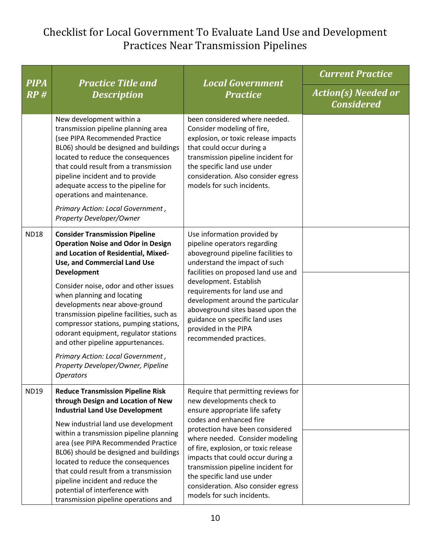| <b>PIPA</b> | <b>Practice Title and</b><br><b>Description</b>                                                                                                                                                                                                                                                                                                                                                                                                                                                                                                              | <b>Local Government</b><br><b>Practice</b>                                                                                                                                                                                                                                                                                                                                                                                 | <b>Current Practice</b>                         |
|-------------|--------------------------------------------------------------------------------------------------------------------------------------------------------------------------------------------------------------------------------------------------------------------------------------------------------------------------------------------------------------------------------------------------------------------------------------------------------------------------------------------------------------------------------------------------------------|----------------------------------------------------------------------------------------------------------------------------------------------------------------------------------------------------------------------------------------------------------------------------------------------------------------------------------------------------------------------------------------------------------------------------|-------------------------------------------------|
| RP#         |                                                                                                                                                                                                                                                                                                                                                                                                                                                                                                                                                              |                                                                                                                                                                                                                                                                                                                                                                                                                            | <b>Action(s) Needed or</b><br><b>Considered</b> |
|             | New development within a<br>transmission pipeline planning area<br>(see PIPA Recommended Practice<br>BL06) should be designed and buildings<br>located to reduce the consequences<br>that could result from a transmission<br>pipeline incident and to provide<br>adequate access to the pipeline for<br>operations and maintenance.<br>Primary Action: Local Government,<br>Property Developer/Owner                                                                                                                                                        | been considered where needed.<br>Consider modeling of fire,<br>explosion, or toxic release impacts<br>that could occur during a<br>transmission pipeline incident for<br>the specific land use under<br>consideration. Also consider egress<br>models for such incidents.                                                                                                                                                  |                                                 |
| <b>ND18</b> | <b>Consider Transmission Pipeline</b><br><b>Operation Noise and Odor in Design</b><br>and Location of Residential, Mixed-<br>Use, and Commercial Land Use<br><b>Development</b><br>Consider noise, odor and other issues<br>when planning and locating<br>developments near above-ground<br>transmission pipeline facilities, such as<br>compressor stations, pumping stations,<br>odorant equipment, regulator stations<br>and other pipeline appurtenances.<br>Primary Action: Local Government,<br>Property Developer/Owner, Pipeline<br><b>Operators</b> | Use information provided by<br>pipeline operators regarding<br>aboveground pipeline facilities to<br>understand the impact of such<br>facilities on proposed land use and<br>development. Establish<br>requirements for land use and<br>development around the particular<br>aboveground sites based upon the<br>guidance on specific land uses<br>provided in the PIPA<br>recommended practices.                          |                                                 |
| <b>ND19</b> | <b>Reduce Transmission Pipeline Risk</b><br>through Design and Location of New<br><b>Industrial Land Use Development</b><br>New industrial land use development<br>within a transmission pipeline planning<br>area (see PIPA Recommended Practice<br>BL06) should be designed and buildings<br>located to reduce the consequences<br>that could result from a transmission<br>pipeline incident and reduce the<br>potential of interference with<br>transmission pipeline operations and                                                                     | Require that permitting reviews for<br>new developments check to<br>ensure appropriate life safety<br>codes and enhanced fire<br>protection have been considered<br>where needed. Consider modeling<br>of fire, explosion, or toxic release<br>impacts that could occur during a<br>transmission pipeline incident for<br>the specific land use under<br>consideration. Also consider egress<br>models for such incidents. |                                                 |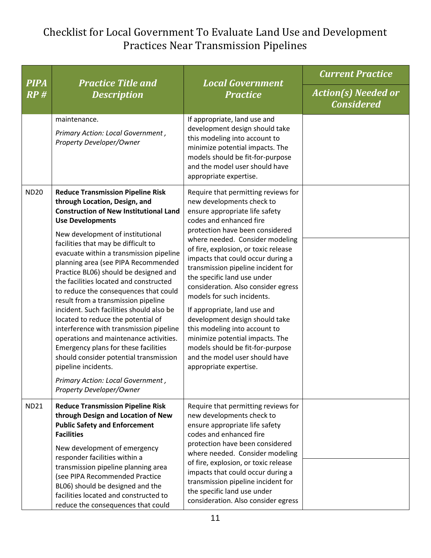| <b>PIPA</b> | <b>Practice Title and</b><br><b>Description</b>                                                                                                                                                                                                                                                                                                                                                                                                                                                                                                                                                                                                                                                                                                                                                                                        | <b>Local Government</b><br><b>Practice</b>                                                                                                                                                                                                                                                                                                                                                                                                                                                                                                                                                                                                                       | <b>Current Practice</b>                         |
|-------------|----------------------------------------------------------------------------------------------------------------------------------------------------------------------------------------------------------------------------------------------------------------------------------------------------------------------------------------------------------------------------------------------------------------------------------------------------------------------------------------------------------------------------------------------------------------------------------------------------------------------------------------------------------------------------------------------------------------------------------------------------------------------------------------------------------------------------------------|------------------------------------------------------------------------------------------------------------------------------------------------------------------------------------------------------------------------------------------------------------------------------------------------------------------------------------------------------------------------------------------------------------------------------------------------------------------------------------------------------------------------------------------------------------------------------------------------------------------------------------------------------------------|-------------------------------------------------|
| RP#         |                                                                                                                                                                                                                                                                                                                                                                                                                                                                                                                                                                                                                                                                                                                                                                                                                                        |                                                                                                                                                                                                                                                                                                                                                                                                                                                                                                                                                                                                                                                                  | <b>Action(s) Needed or</b><br><b>Considered</b> |
|             | maintenance.<br>Primary Action: Local Government,<br>Property Developer/Owner                                                                                                                                                                                                                                                                                                                                                                                                                                                                                                                                                                                                                                                                                                                                                          | If appropriate, land use and<br>development design should take<br>this modeling into account to<br>minimize potential impacts. The<br>models should be fit-for-purpose<br>and the model user should have<br>appropriate expertise.                                                                                                                                                                                                                                                                                                                                                                                                                               |                                                 |
| <b>ND20</b> | <b>Reduce Transmission Pipeline Risk</b><br>through Location, Design, and<br><b>Construction of New Institutional Land</b><br><b>Use Developments</b><br>New development of institutional<br>facilities that may be difficult to<br>evacuate within a transmission pipeline<br>planning area (see PIPA Recommended<br>Practice BL06) should be designed and<br>the facilities located and constructed<br>to reduce the consequences that could<br>result from a transmission pipeline<br>incident. Such facilities should also be<br>located to reduce the potential of<br>interference with transmission pipeline<br>operations and maintenance activities.<br>Emergency plans for these facilities<br>should consider potential transmission<br>pipeline incidents.<br>Primary Action: Local Government,<br>Property Developer/Owner | Require that permitting reviews for<br>new developments check to<br>ensure appropriate life safety<br>codes and enhanced fire<br>protection have been considered<br>where needed. Consider modeling<br>of fire, explosion, or toxic release<br>impacts that could occur during a<br>transmission pipeline incident for<br>the specific land use under<br>consideration. Also consider egress<br>models for such incidents.<br>If appropriate, land use and<br>development design should take<br>this modeling into account to<br>minimize potential impacts. The<br>models should be fit-for-purpose<br>and the model user should have<br>appropriate expertise. |                                                 |
| <b>ND21</b> | <b>Reduce Transmission Pipeline Risk</b><br>through Design and Location of New<br><b>Public Safety and Enforcement</b><br><b>Facilities</b><br>New development of emergency<br>responder facilities within a<br>transmission pipeline planning area<br>(see PIPA Recommended Practice<br>BL06) should be designed and the<br>facilities located and constructed to<br>reduce the consequences that could                                                                                                                                                                                                                                                                                                                                                                                                                               | Require that permitting reviews for<br>new developments check to<br>ensure appropriate life safety<br>codes and enhanced fire<br>protection have been considered<br>where needed. Consider modeling<br>of fire, explosion, or toxic release<br>impacts that could occur during a<br>transmission pipeline incident for<br>the specific land use under<br>consideration. Also consider egress                                                                                                                                                                                                                                                                     |                                                 |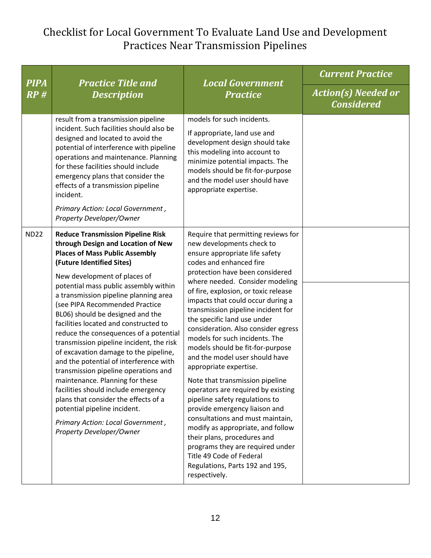| <b>PIPA</b><br>RP# | <b>Practice Title and</b><br><b>Description</b>                                                                                                                                                                                                                                                                                                                                                                                                                                                                                                                                                                                                                                                                                                                                                                           | <b>Local Government</b><br><b>Practice</b>                                                                                                                                                                                                                                                                                                                                                                                                                                                                                                                                                                                                                                                                                                                                                                                                                                                             | <b>Current Practice</b>                         |
|--------------------|---------------------------------------------------------------------------------------------------------------------------------------------------------------------------------------------------------------------------------------------------------------------------------------------------------------------------------------------------------------------------------------------------------------------------------------------------------------------------------------------------------------------------------------------------------------------------------------------------------------------------------------------------------------------------------------------------------------------------------------------------------------------------------------------------------------------------|--------------------------------------------------------------------------------------------------------------------------------------------------------------------------------------------------------------------------------------------------------------------------------------------------------------------------------------------------------------------------------------------------------------------------------------------------------------------------------------------------------------------------------------------------------------------------------------------------------------------------------------------------------------------------------------------------------------------------------------------------------------------------------------------------------------------------------------------------------------------------------------------------------|-------------------------------------------------|
|                    |                                                                                                                                                                                                                                                                                                                                                                                                                                                                                                                                                                                                                                                                                                                                                                                                                           |                                                                                                                                                                                                                                                                                                                                                                                                                                                                                                                                                                                                                                                                                                                                                                                                                                                                                                        | <b>Action(s) Needed or</b><br><b>Considered</b> |
|                    | result from a transmission pipeline<br>incident. Such facilities should also be<br>designed and located to avoid the<br>potential of interference with pipeline<br>operations and maintenance. Planning<br>for these facilities should include<br>emergency plans that consider the<br>effects of a transmission pipeline<br>incident.<br>Primary Action: Local Government,<br>Property Developer/Owner                                                                                                                                                                                                                                                                                                                                                                                                                   | models for such incidents.<br>If appropriate, land use and<br>development design should take<br>this modeling into account to<br>minimize potential impacts. The<br>models should be fit-for-purpose<br>and the model user should have<br>appropriate expertise.                                                                                                                                                                                                                                                                                                                                                                                                                                                                                                                                                                                                                                       |                                                 |
| <b>ND22</b>        | <b>Reduce Transmission Pipeline Risk</b><br>through Design and Location of New<br><b>Places of Mass Public Assembly</b><br>(Future Identified Sites)<br>New development of places of<br>potential mass public assembly within<br>a transmission pipeline planning area<br>(see PIPA Recommended Practice<br>BL06) should be designed and the<br>facilities located and constructed to<br>reduce the consequences of a potential<br>transmission pipeline incident, the risk<br>of excavation damage to the pipeline,<br>and the potential of interference with<br>transmission pipeline operations and<br>maintenance. Planning for these<br>facilities should include emergency<br>plans that consider the effects of a<br>potential pipeline incident.<br>Primary Action: Local Government,<br>Property Developer/Owner | Require that permitting reviews for<br>new developments check to<br>ensure appropriate life safety<br>codes and enhanced fire<br>protection have been considered<br>where needed. Consider modeling<br>of fire, explosion, or toxic release<br>impacts that could occur during a<br>transmission pipeline incident for<br>the specific land use under<br>consideration. Also consider egress<br>models for such incidents. The<br>models should be fit-for-purpose<br>and the model user should have<br>appropriate expertise.<br>Note that transmission pipeline<br>operators are required by existing<br>pipeline safety regulations to<br>provide emergency liaison and<br>consultations and must maintain,<br>modify as appropriate, and follow<br>their plans, procedures and<br>programs they are required under<br>Title 49 Code of Federal<br>Regulations, Parts 192 and 195,<br>respectively. |                                                 |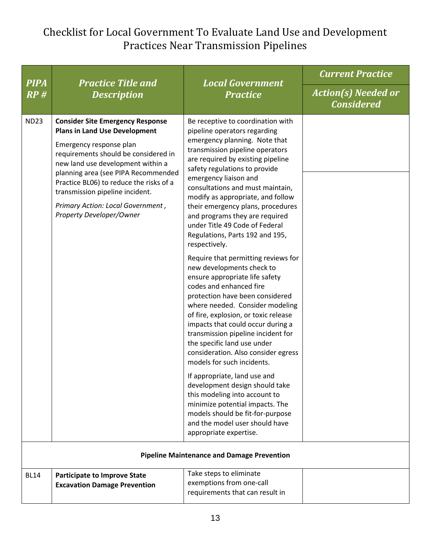| <b>PIPA</b> | <b>Practice Title and</b><br><b>Description</b>                                                                                                                                                                                                                                                                                                                               | <b>Local Government</b><br><b>Practice</b>                                                                                                                                                                                                                                                                                                                                                                                                                                                                                                                                                                                                                                                                                                                                                                                                                                                                                                                                                                                                                                                                                                     | <b>Current Practice</b>                         |
|-------------|-------------------------------------------------------------------------------------------------------------------------------------------------------------------------------------------------------------------------------------------------------------------------------------------------------------------------------------------------------------------------------|------------------------------------------------------------------------------------------------------------------------------------------------------------------------------------------------------------------------------------------------------------------------------------------------------------------------------------------------------------------------------------------------------------------------------------------------------------------------------------------------------------------------------------------------------------------------------------------------------------------------------------------------------------------------------------------------------------------------------------------------------------------------------------------------------------------------------------------------------------------------------------------------------------------------------------------------------------------------------------------------------------------------------------------------------------------------------------------------------------------------------------------------|-------------------------------------------------|
| RP#         |                                                                                                                                                                                                                                                                                                                                                                               |                                                                                                                                                                                                                                                                                                                                                                                                                                                                                                                                                                                                                                                                                                                                                                                                                                                                                                                                                                                                                                                                                                                                                | <b>Action(s) Needed or</b><br><b>Considered</b> |
| <b>ND23</b> | <b>Consider Site Emergency Response</b><br><b>Plans in Land Use Development</b><br>Emergency response plan<br>requirements should be considered in<br>new land use development within a<br>planning area (see PIPA Recommended<br>Practice BL06) to reduce the risks of a<br>transmission pipeline incident.<br>Primary Action: Local Government,<br>Property Developer/Owner | Be receptive to coordination with<br>pipeline operators regarding<br>emergency planning. Note that<br>transmission pipeline operators<br>are required by existing pipeline<br>safety regulations to provide<br>emergency liaison and<br>consultations and must maintain,<br>modify as appropriate, and follow<br>their emergency plans, procedures<br>and programs they are required<br>under Title 49 Code of Federal<br>Regulations, Parts 192 and 195,<br>respectively.<br>Require that permitting reviews for<br>new developments check to<br>ensure appropriate life safety<br>codes and enhanced fire<br>protection have been considered<br>where needed. Consider modeling<br>of fire, explosion, or toxic release<br>impacts that could occur during a<br>transmission pipeline incident for<br>the specific land use under<br>consideration. Also consider egress<br>models for such incidents.<br>If appropriate, land use and<br>development design should take<br>this modeling into account to<br>minimize potential impacts. The<br>models should be fit-for-purpose<br>and the model user should have<br>appropriate expertise. |                                                 |
|             |                                                                                                                                                                                                                                                                                                                                                                               | <b>Pipeline Maintenance and Damage Prevention</b>                                                                                                                                                                                                                                                                                                                                                                                                                                                                                                                                                                                                                                                                                                                                                                                                                                                                                                                                                                                                                                                                                              |                                                 |
| <b>BL14</b> | <b>Participate to Improve State</b><br><b>Excavation Damage Prevention</b>                                                                                                                                                                                                                                                                                                    | Take steps to eliminate<br>exemptions from one-call<br>requirements that can result in                                                                                                                                                                                                                                                                                                                                                                                                                                                                                                                                                                                                                                                                                                                                                                                                                                                                                                                                                                                                                                                         |                                                 |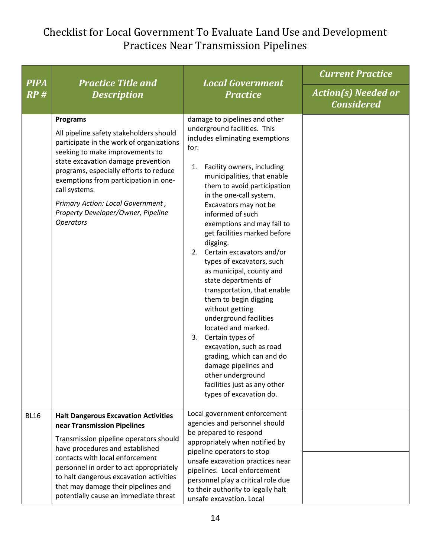| <b>PIPA</b> | <b>Practice Title and</b><br><b>Description</b>                                                                                                                                                                                                                                                                                                                                    | <b>Local Government</b><br><b>Practice</b>                                                                                                                                                                                                                                                                                                                                                                                                                                                                                                                                                                                                                                                                                                                                                     | <b>Current Practice</b>                         |
|-------------|------------------------------------------------------------------------------------------------------------------------------------------------------------------------------------------------------------------------------------------------------------------------------------------------------------------------------------------------------------------------------------|------------------------------------------------------------------------------------------------------------------------------------------------------------------------------------------------------------------------------------------------------------------------------------------------------------------------------------------------------------------------------------------------------------------------------------------------------------------------------------------------------------------------------------------------------------------------------------------------------------------------------------------------------------------------------------------------------------------------------------------------------------------------------------------------|-------------------------------------------------|
| RP#         |                                                                                                                                                                                                                                                                                                                                                                                    |                                                                                                                                                                                                                                                                                                                                                                                                                                                                                                                                                                                                                                                                                                                                                                                                | <b>Action(s) Needed or</b><br><b>Considered</b> |
|             | <b>Programs</b><br>All pipeline safety stakeholders should<br>participate in the work of organizations<br>seeking to make improvements to<br>state excavation damage prevention<br>programs, especially efforts to reduce<br>exemptions from participation in one-<br>call systems.<br>Primary Action: Local Government,<br>Property Developer/Owner, Pipeline<br><b>Operators</b> | damage to pipelines and other<br>underground facilities. This<br>includes eliminating exemptions<br>for:<br>1. Facility owners, including<br>municipalities, that enable<br>them to avoid participation<br>in the one-call system.<br>Excavators may not be<br>informed of such<br>exemptions and may fail to<br>get facilities marked before<br>digging.<br>2. Certain excavators and/or<br>types of excavators, such<br>as municipal, county and<br>state departments of<br>transportation, that enable<br>them to begin digging<br>without getting<br>underground facilities<br>located and marked.<br>3. Certain types of<br>excavation, such as road<br>grading, which can and do<br>damage pipelines and<br>other underground<br>facilities just as any other<br>types of excavation do. |                                                 |
| <b>BL16</b> | <b>Halt Dangerous Excavation Activities</b><br>near Transmission Pipelines<br>Transmission pipeline operators should<br>have procedures and established                                                                                                                                                                                                                            | Local government enforcement<br>agencies and personnel should<br>be prepared to respond<br>appropriately when notified by                                                                                                                                                                                                                                                                                                                                                                                                                                                                                                                                                                                                                                                                      |                                                 |
|             | contacts with local enforcement<br>personnel in order to act appropriately<br>to halt dangerous excavation activities<br>that may damage their pipelines and<br>potentially cause an immediate threat                                                                                                                                                                              | pipeline operators to stop<br>unsafe excavation practices near<br>pipelines. Local enforcement<br>personnel play a critical role due<br>to their authority to legally halt<br>unsafe excavation. Local                                                                                                                                                                                                                                                                                                                                                                                                                                                                                                                                                                                         |                                                 |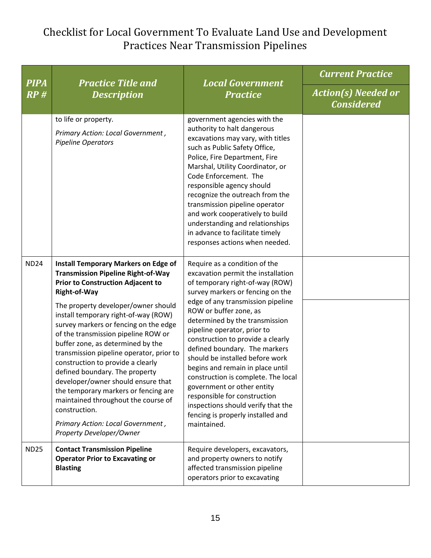| <b>PIPA</b><br>RP# | <b>Practice Title and</b><br><b>Description</b>                                                                                                                                                                                                                                                                                                                                                                                                                                                                                                                                                                                                                                    | <b>Local Government</b><br><b>Practice</b>                                                                                                                                                                                                                                                                                                                                                                                                                                                                                                                                                                             | <b>Current Practice</b>                         |
|--------------------|------------------------------------------------------------------------------------------------------------------------------------------------------------------------------------------------------------------------------------------------------------------------------------------------------------------------------------------------------------------------------------------------------------------------------------------------------------------------------------------------------------------------------------------------------------------------------------------------------------------------------------------------------------------------------------|------------------------------------------------------------------------------------------------------------------------------------------------------------------------------------------------------------------------------------------------------------------------------------------------------------------------------------------------------------------------------------------------------------------------------------------------------------------------------------------------------------------------------------------------------------------------------------------------------------------------|-------------------------------------------------|
|                    |                                                                                                                                                                                                                                                                                                                                                                                                                                                                                                                                                                                                                                                                                    |                                                                                                                                                                                                                                                                                                                                                                                                                                                                                                                                                                                                                        | <b>Action(s) Needed or</b><br><b>Considered</b> |
|                    | to life or property.<br>Primary Action: Local Government,<br>Pipeline Operators                                                                                                                                                                                                                                                                                                                                                                                                                                                                                                                                                                                                    | government agencies with the<br>authority to halt dangerous<br>excavations may vary, with titles<br>such as Public Safety Office,<br>Police, Fire Department, Fire<br>Marshal, Utility Coordinator, or<br>Code Enforcement. The<br>responsible agency should<br>recognize the outreach from the<br>transmission pipeline operator<br>and work cooperatively to build<br>understanding and relationships<br>in advance to facilitate timely<br>responses actions when needed.                                                                                                                                           |                                                 |
| <b>ND24</b>        | <b>Install Temporary Markers on Edge of</b><br><b>Transmission Pipeline Right-of-Way</b><br><b>Prior to Construction Adjacent to</b><br>Right-of-Way<br>The property developer/owner should<br>install temporary right-of-way (ROW)<br>survey markers or fencing on the edge<br>of the transmission pipeline ROW or<br>buffer zone, as determined by the<br>transmission pipeline operator, prior to<br>construction to provide a clearly<br>defined boundary. The property<br>developer/owner should ensure that<br>the temporary markers or fencing are<br>maintained throughout the course of<br>construction.<br>Primary Action: Local Government,<br>Property Developer/Owner | Require as a condition of the<br>excavation permit the installation<br>of temporary right-of-way (ROW)<br>survey markers or fencing on the<br>edge of any transmission pipeline<br>ROW or buffer zone, as<br>determined by the transmission<br>pipeline operator, prior to<br>construction to provide a clearly<br>defined boundary. The markers<br>should be installed before work<br>begins and remain in place until<br>construction is complete. The local<br>government or other entity<br>responsible for construction<br>inspections should verify that the<br>fencing is properly installed and<br>maintained. |                                                 |
| <b>ND25</b>        | <b>Contact Transmission Pipeline</b><br><b>Operator Prior to Excavating or</b><br><b>Blasting</b>                                                                                                                                                                                                                                                                                                                                                                                                                                                                                                                                                                                  | Require developers, excavators,<br>and property owners to notify<br>affected transmission pipeline<br>operators prior to excavating                                                                                                                                                                                                                                                                                                                                                                                                                                                                                    |                                                 |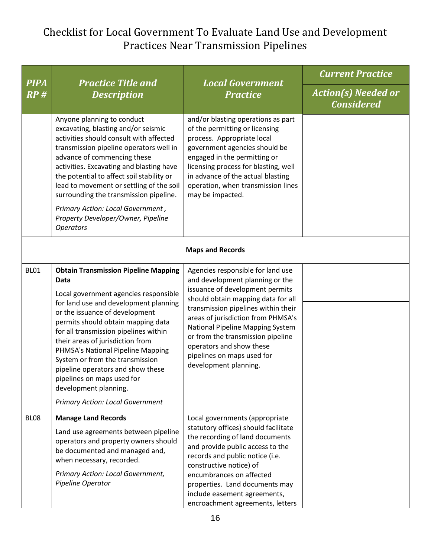| <b>PIPA</b>      | <b>Practice Title and</b><br><b>Description</b>                                                                                                                                                                                                                                                                                                                                                                                                                                                           | <b>Local Government</b><br><b>Practice</b>                                                                                                                                                                                                                                                                                                                                             | <b>Current Practice</b>                         |  |  |
|------------------|-----------------------------------------------------------------------------------------------------------------------------------------------------------------------------------------------------------------------------------------------------------------------------------------------------------------------------------------------------------------------------------------------------------------------------------------------------------------------------------------------------------|----------------------------------------------------------------------------------------------------------------------------------------------------------------------------------------------------------------------------------------------------------------------------------------------------------------------------------------------------------------------------------------|-------------------------------------------------|--|--|
| RP#              |                                                                                                                                                                                                                                                                                                                                                                                                                                                                                                           |                                                                                                                                                                                                                                                                                                                                                                                        | <b>Action(s) Needed or</b><br><b>Considered</b> |  |  |
|                  | Anyone planning to conduct<br>excavating, blasting and/or seismic<br>activities should consult with affected<br>transmission pipeline operators well in<br>advance of commencing these<br>activities. Excavating and blasting have<br>the potential to affect soil stability or<br>lead to movement or settling of the soil<br>surrounding the transmission pipeline.<br>Primary Action: Local Government,<br>Property Developer/Owner, Pipeline<br><b>Operators</b>                                      | and/or blasting operations as part<br>of the permitting or licensing<br>process. Appropriate local<br>government agencies should be<br>engaged in the permitting or<br>licensing process for blasting, well<br>in advance of the actual blasting<br>operation, when transmission lines<br>may be impacted.                                                                             |                                                 |  |  |
|                  | <b>Maps and Records</b>                                                                                                                                                                                                                                                                                                                                                                                                                                                                                   |                                                                                                                                                                                                                                                                                                                                                                                        |                                                 |  |  |
| <b>BL01</b>      | <b>Obtain Transmission Pipeline Mapping</b><br>Data<br>Local government agencies responsible<br>for land use and development planning<br>or the issuance of development<br>permits should obtain mapping data<br>for all transmission pipelines within<br>their areas of jurisdiction from<br>PHMSA's National Pipeline Mapping<br>System or from the transmission<br>pipeline operators and show these<br>pipelines on maps used for<br>development planning.<br><b>Primary Action: Local Government</b> | Agencies responsible for land use<br>and development planning or the<br>issuance of development permits<br>should obtain mapping data for all<br>transmission pipelines within their<br>areas of jurisdiction from PHMSA's<br>National Pipeline Mapping System<br>or from the transmission pipeline<br>operators and show these<br>pipelines on maps used for<br>development planning. |                                                 |  |  |
| BL <sub>08</sub> | <b>Manage Land Records</b><br>Land use agreements between pipeline<br>operators and property owners should<br>be documented and managed and,<br>when necessary, recorded.<br>Primary Action: Local Government,<br>Pipeline Operator                                                                                                                                                                                                                                                                       | Local governments (appropriate<br>statutory offices) should facilitate<br>the recording of land documents<br>and provide public access to the<br>records and public notice (i.e.<br>constructive notice) of<br>encumbrances on affected<br>properties. Land documents may<br>include easement agreements,<br>encroachment agreements, letters                                          |                                                 |  |  |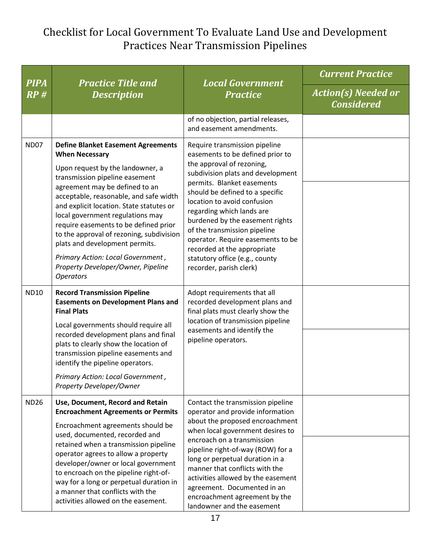| <b>PIPA</b><br>RP# | <b>Practice Title and</b><br><b>Description</b>                                                                                                                                                                                                                                                                                                                                                                                                                                                                            | <b>Local Government</b><br><b>Practice</b>                                                                                                                                                                                                                                                                                                                                                                                                                           | <b>Current Practice</b>                         |
|--------------------|----------------------------------------------------------------------------------------------------------------------------------------------------------------------------------------------------------------------------------------------------------------------------------------------------------------------------------------------------------------------------------------------------------------------------------------------------------------------------------------------------------------------------|----------------------------------------------------------------------------------------------------------------------------------------------------------------------------------------------------------------------------------------------------------------------------------------------------------------------------------------------------------------------------------------------------------------------------------------------------------------------|-------------------------------------------------|
|                    |                                                                                                                                                                                                                                                                                                                                                                                                                                                                                                                            |                                                                                                                                                                                                                                                                                                                                                                                                                                                                      | <b>Action(s) Needed or</b><br><b>Considered</b> |
|                    |                                                                                                                                                                                                                                                                                                                                                                                                                                                                                                                            | of no objection, partial releases,<br>and easement amendments.                                                                                                                                                                                                                                                                                                                                                                                                       |                                                 |
| <b>ND07</b>        | <b>Define Blanket Easement Agreements</b><br><b>When Necessary</b><br>Upon request by the landowner, a<br>transmission pipeline easement<br>agreement may be defined to an<br>acceptable, reasonable, and safe width<br>and explicit location. State statutes or<br>local government regulations may<br>require easements to be defined prior<br>to the approval of rezoning, subdivision<br>plats and development permits.<br>Primary Action: Local Government,<br>Property Developer/Owner, Pipeline<br><b>Operators</b> | Require transmission pipeline<br>easements to be defined prior to<br>the approval of rezoning,<br>subdivision plats and development<br>permits. Blanket easements<br>should be defined to a specific<br>location to avoid confusion<br>regarding which lands are<br>burdened by the easement rights<br>of the transmission pipeline<br>operator. Require easements to be<br>recorded at the appropriate<br>statutory office (e.g., county<br>recorder, parish clerk) |                                                 |
| <b>ND10</b>        | <b>Record Transmission Pipeline</b><br><b>Easements on Development Plans and</b><br><b>Final Plats</b><br>Local governments should require all<br>recorded development plans and final<br>plats to clearly show the location of<br>transmission pipeline easements and<br>identify the pipeline operators.<br>Primary Action: Local Government,<br>Property Developer/Owner                                                                                                                                                | Adopt requirements that all<br>recorded development plans and<br>final plats must clearly show the<br>location of transmission pipeline<br>easements and identify the<br>pipeline operators.                                                                                                                                                                                                                                                                         |                                                 |
| <b>ND26</b>        | Use, Document, Record and Retain<br><b>Encroachment Agreements or Permits</b><br>Encroachment agreements should be<br>used, documented, recorded and<br>retained when a transmission pipeline<br>operator agrees to allow a property<br>developer/owner or local government<br>to encroach on the pipeline right-of-<br>way for a long or perpetual duration in<br>a manner that conflicts with the<br>activities allowed on the easement.                                                                                 | Contact the transmission pipeline<br>operator and provide information<br>about the proposed encroachment<br>when local government desires to<br>encroach on a transmission<br>pipeline right-of-way (ROW) for a<br>long or perpetual duration in a<br>manner that conflicts with the<br>activities allowed by the easement<br>agreement. Documented in an<br>encroachment agreement by the<br>landowner and the easement                                             |                                                 |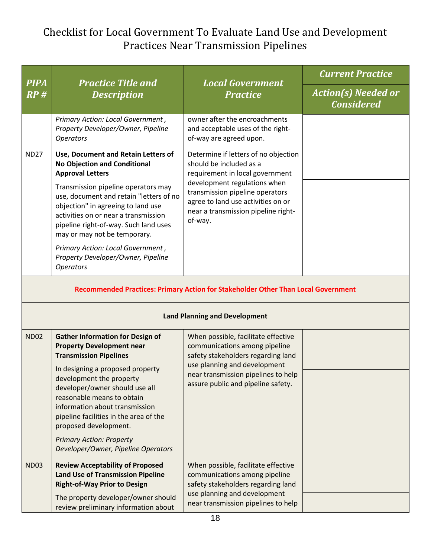| <b>PIPA</b><br>RP#                                                                | <b>Practice Title and</b><br><b>Description</b>                                                                                                                                                                                       | <b>Local Government</b><br><b>Practice</b>                                                                                                                                                                                                                    | <b>Current Practice</b>                         |  |
|-----------------------------------------------------------------------------------|---------------------------------------------------------------------------------------------------------------------------------------------------------------------------------------------------------------------------------------|---------------------------------------------------------------------------------------------------------------------------------------------------------------------------------------------------------------------------------------------------------------|-------------------------------------------------|--|
|                                                                                   |                                                                                                                                                                                                                                       |                                                                                                                                                                                                                                                               | <b>Action(s) Needed or</b><br><b>Considered</b> |  |
|                                                                                   | Primary Action: Local Government,<br>Property Developer/Owner, Pipeline<br><b>Operators</b>                                                                                                                                           | owner after the encroachments<br>and acceptable uses of the right-<br>of-way are agreed upon.                                                                                                                                                                 |                                                 |  |
| <b>ND27</b>                                                                       | Use, Document and Retain Letters of<br><b>No Objection and Conditional</b><br><b>Approval Letters</b>                                                                                                                                 | Determine if letters of no objection<br>should be included as a<br>requirement in local government<br>development regulations when<br>transmission pipeline operators<br>agree to land use activities on or<br>near a transmission pipeline right-<br>of-way. |                                                 |  |
|                                                                                   | Transmission pipeline operators may<br>use, document and retain "letters of no<br>objection" in agreeing to land use<br>activities on or near a transmission<br>pipeline right-of-way. Such land uses<br>may or may not be temporary. |                                                                                                                                                                                                                                                               |                                                 |  |
|                                                                                   | Primary Action: Local Government,<br>Property Developer/Owner, Pipeline<br><b>Operators</b>                                                                                                                                           |                                                                                                                                                                                                                                                               |                                                 |  |
| Recommended Practices: Primary Action for Stakeholder Other Than Local Government |                                                                                                                                                                                                                                       |                                                                                                                                                                                                                                                               |                                                 |  |
| <b>Land Planning and Development</b>                                              |                                                                                                                                                                                                                                       |                                                                                                                                                                                                                                                               |                                                 |  |
| <b>ND02</b>                                                                       | <b>Gather Information for Design of</b><br><b>Property Development near</b><br><b>Transmission Pipelines</b>                                                                                                                          | When possible, facilitate effective<br>communications among pipeline<br>safety stakeholders regarding land<br>use planning and development<br>near transmission pipelines to help<br>assure public and pipeline safety.                                       |                                                 |  |
|                                                                                   | In designing a proposed property<br>development the property<br>developer/owner should use all<br>reasonable means to obtain<br>information about transmission<br>pipeline facilities in the area of the<br>proposed development.     |                                                                                                                                                                                                                                                               |                                                 |  |
|                                                                                   | <b>Primary Action: Property</b><br>Developer/Owner, Pipeline Operators                                                                                                                                                                |                                                                                                                                                                                                                                                               |                                                 |  |
| <b>ND03</b>                                                                       | <b>Review Acceptability of Proposed</b><br><b>Land Use of Transmission Pipeline</b><br><b>Right-of-Way Prior to Design</b>                                                                                                            | When possible, facilitate effective<br>communications among pipeline<br>safety stakeholders regarding land                                                                                                                                                    |                                                 |  |
|                                                                                   | The property developer/owner should<br>review preliminary information about                                                                                                                                                           | use planning and development<br>near transmission pipelines to help                                                                                                                                                                                           |                                                 |  |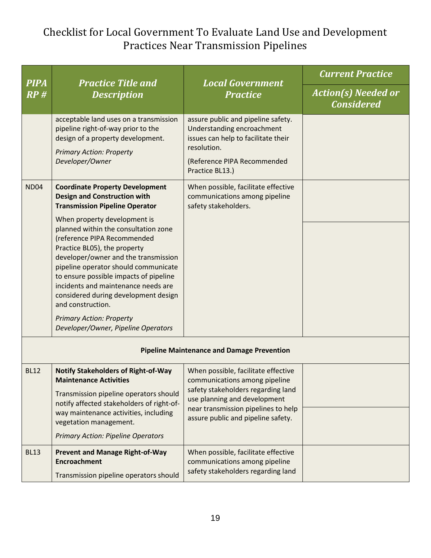| <b>PIPA</b><br>RP#                                | <b>Practice Title and</b><br><b>Description</b>                                                                                                                                                                                                                                                                                                                                                                                             | <b>Local Government</b><br><b>Practice</b>                                                                                                                                                                              | <b>Current Practice</b>                         |  |
|---------------------------------------------------|---------------------------------------------------------------------------------------------------------------------------------------------------------------------------------------------------------------------------------------------------------------------------------------------------------------------------------------------------------------------------------------------------------------------------------------------|-------------------------------------------------------------------------------------------------------------------------------------------------------------------------------------------------------------------------|-------------------------------------------------|--|
|                                                   |                                                                                                                                                                                                                                                                                                                                                                                                                                             |                                                                                                                                                                                                                         | <b>Action(s) Needed or</b><br><b>Considered</b> |  |
|                                                   | acceptable land uses on a transmission<br>pipeline right-of-way prior to the<br>design of a property development.<br><b>Primary Action: Property</b><br>Developer/Owner                                                                                                                                                                                                                                                                     | assure public and pipeline safety.<br>Understanding encroachment<br>issues can help to facilitate their<br>resolution.<br>(Reference PIPA Recommended<br>Practice BL13.)                                                |                                                 |  |
| <b>ND04</b>                                       | <b>Coordinate Property Development</b><br><b>Design and Construction with</b><br><b>Transmission Pipeline Operator</b>                                                                                                                                                                                                                                                                                                                      | When possible, facilitate effective<br>communications among pipeline<br>safety stakeholders.                                                                                                                            |                                                 |  |
|                                                   | When property development is<br>planned within the consultation zone<br>(reference PIPA Recommended<br>Practice BL05), the property<br>developer/owner and the transmission<br>pipeline operator should communicate<br>to ensure possible impacts of pipeline<br>incidents and maintenance needs are<br>considered during development design<br>and construction.<br><b>Primary Action: Property</b><br>Developer/Owner, Pipeline Operators |                                                                                                                                                                                                                         |                                                 |  |
| <b>Pipeline Maintenance and Damage Prevention</b> |                                                                                                                                                                                                                                                                                                                                                                                                                                             |                                                                                                                                                                                                                         |                                                 |  |
| <b>BL12</b>                                       | <b>Notify Stakeholders of Right-of-Way</b><br><b>Maintenance Activities</b><br>Transmission pipeline operators should<br>notify affected stakeholders of right-of-<br>way maintenance activities, including<br>vegetation management.<br><b>Primary Action: Pipeline Operators</b>                                                                                                                                                          | When possible, facilitate effective<br>communications among pipeline<br>safety stakeholders regarding land<br>use planning and development<br>near transmission pipelines to help<br>assure public and pipeline safety. |                                                 |  |
| <b>BL13</b>                                       | <b>Prevent and Manage Right-of-Way</b><br><b>Encroachment</b><br>Transmission pipeline operators should                                                                                                                                                                                                                                                                                                                                     | When possible, facilitate effective<br>communications among pipeline<br>safety stakeholders regarding land                                                                                                              |                                                 |  |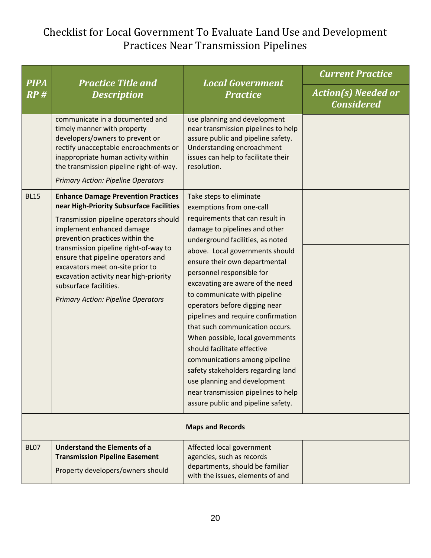| <b>PIPA</b><br>RP#      | <b>Practice Title and</b><br><b>Description</b>                                                                                                                                                                                                                                                                                                                                                                                      | <b>Local Government</b><br><b>Practice</b>                                                                                                                                                                                                                                                                                                                                                                                                                                                                                                                                                                                                                                                        | <b>Current Practice</b>                         |
|-------------------------|--------------------------------------------------------------------------------------------------------------------------------------------------------------------------------------------------------------------------------------------------------------------------------------------------------------------------------------------------------------------------------------------------------------------------------------|---------------------------------------------------------------------------------------------------------------------------------------------------------------------------------------------------------------------------------------------------------------------------------------------------------------------------------------------------------------------------------------------------------------------------------------------------------------------------------------------------------------------------------------------------------------------------------------------------------------------------------------------------------------------------------------------------|-------------------------------------------------|
|                         |                                                                                                                                                                                                                                                                                                                                                                                                                                      |                                                                                                                                                                                                                                                                                                                                                                                                                                                                                                                                                                                                                                                                                                   | <b>Action(s) Needed or</b><br><b>Considered</b> |
|                         | communicate in a documented and<br>timely manner with property<br>developers/owners to prevent or<br>rectify unacceptable encroachments or<br>inappropriate human activity within<br>the transmission pipeline right-of-way.<br><b>Primary Action: Pipeline Operators</b>                                                                                                                                                            | use planning and development<br>near transmission pipelines to help<br>assure public and pipeline safety.<br>Understanding encroachment<br>issues can help to facilitate their<br>resolution.                                                                                                                                                                                                                                                                                                                                                                                                                                                                                                     |                                                 |
| <b>BL15</b>             | <b>Enhance Damage Prevention Practices</b><br>near High-Priority Subsurface Facilities<br>Transmission pipeline operators should<br>implement enhanced damage<br>prevention practices within the<br>transmission pipeline right-of-way to<br>ensure that pipeline operators and<br>excavators meet on-site prior to<br>excavation activity near high-priority<br>subsurface facilities.<br><b>Primary Action: Pipeline Operators</b> | Take steps to eliminate<br>exemptions from one-call<br>requirements that can result in<br>damage to pipelines and other<br>underground facilities, as noted<br>above. Local governments should<br>ensure their own departmental<br>personnel responsible for<br>excavating are aware of the need<br>to communicate with pipeline<br>operators before digging near<br>pipelines and require confirmation<br>that such communication occurs.<br>When possible, local governments<br>should facilitate effective<br>communications among pipeline<br>safety stakeholders regarding land<br>use planning and development<br>near transmission pipelines to help<br>assure public and pipeline safety. |                                                 |
| <b>Maps and Records</b> |                                                                                                                                                                                                                                                                                                                                                                                                                                      |                                                                                                                                                                                                                                                                                                                                                                                                                                                                                                                                                                                                                                                                                                   |                                                 |
| <b>BL07</b>             | <b>Understand the Elements of a</b><br><b>Transmission Pipeline Easement</b><br>Property developers/owners should                                                                                                                                                                                                                                                                                                                    | Affected local government<br>agencies, such as records<br>departments, should be familiar<br>with the issues, elements of and                                                                                                                                                                                                                                                                                                                                                                                                                                                                                                                                                                     |                                                 |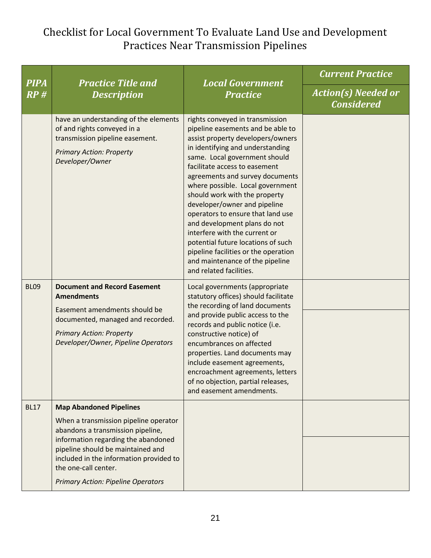| <b>PIPA</b><br>RP# | <b>Practice Title and</b><br><b>Description</b>                                                                                                                                                                                                                                                          | <b>Local Government</b><br><b>Practice</b>                                                                                                                                                                                                                                                                                                                                                                                                                                                                                                                                                                | <b>Current Practice</b>                         |
|--------------------|----------------------------------------------------------------------------------------------------------------------------------------------------------------------------------------------------------------------------------------------------------------------------------------------------------|-----------------------------------------------------------------------------------------------------------------------------------------------------------------------------------------------------------------------------------------------------------------------------------------------------------------------------------------------------------------------------------------------------------------------------------------------------------------------------------------------------------------------------------------------------------------------------------------------------------|-------------------------------------------------|
|                    |                                                                                                                                                                                                                                                                                                          |                                                                                                                                                                                                                                                                                                                                                                                                                                                                                                                                                                                                           | <b>Action(s) Needed or</b><br><b>Considered</b> |
|                    | have an understanding of the elements<br>of and rights conveyed in a<br>transmission pipeline easement.<br><b>Primary Action: Property</b><br>Developer/Owner                                                                                                                                            | rights conveyed in transmission<br>pipeline easements and be able to<br>assist property developers/owners<br>in identifying and understanding<br>same. Local government should<br>facilitate access to easement<br>agreements and survey documents<br>where possible. Local government<br>should work with the property<br>developer/owner and pipeline<br>operators to ensure that land use<br>and development plans do not<br>interfere with the current or<br>potential future locations of such<br>pipeline facilities or the operation<br>and maintenance of the pipeline<br>and related facilities. |                                                 |
| <b>BL09</b>        | <b>Document and Record Easement</b><br><b>Amendments</b><br>Easement amendments should be<br>documented, managed and recorded.<br><b>Primary Action: Property</b><br>Developer/Owner, Pipeline Operators                                                                                                 | Local governments (appropriate<br>statutory offices) should facilitate<br>the recording of land documents<br>and provide public access to the<br>records and public notice (i.e.<br>constructive notice) of<br>encumbrances on affected<br>properties. Land documents may<br>include easement agreements,<br>encroachment agreements, letters<br>of no objection, partial releases,<br>and easement amendments.                                                                                                                                                                                           |                                                 |
| <b>BL17</b>        | <b>Map Abandoned Pipelines</b><br>When a transmission pipeline operator<br>abandons a transmission pipeline,<br>information regarding the abandoned<br>pipeline should be maintained and<br>included in the information provided to<br>the one-call center.<br><b>Primary Action: Pipeline Operators</b> |                                                                                                                                                                                                                                                                                                                                                                                                                                                                                                                                                                                                           |                                                 |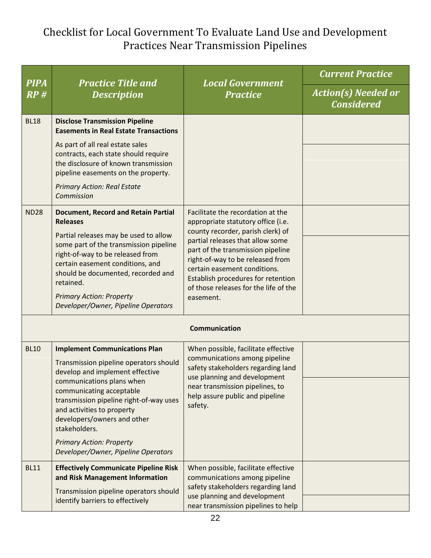| <b>PIPA</b>          | <b>Practice Title and</b>                                                                                                                                                                                                                                                            | <b>Local Government</b>                                                                                                                                                                                                                                                    | <b>Current Practice</b>                         |  |
|----------------------|--------------------------------------------------------------------------------------------------------------------------------------------------------------------------------------------------------------------------------------------------------------------------------------|----------------------------------------------------------------------------------------------------------------------------------------------------------------------------------------------------------------------------------------------------------------------------|-------------------------------------------------|--|
| RP#                  | <b>Description</b>                                                                                                                                                                                                                                                                   | <b>Practice</b>                                                                                                                                                                                                                                                            | <b>Action(s) Needed or</b><br><b>Considered</b> |  |
| <b>BL18</b>          | <b>Disclose Transmission Pipeline</b><br><b>Easements in Real Estate Transactions</b><br>As part of all real estate sales                                                                                                                                                            |                                                                                                                                                                                                                                                                            |                                                 |  |
|                      | contracts, each state should require<br>the disclosure of known transmission<br>pipeline easements on the property.                                                                                                                                                                  |                                                                                                                                                                                                                                                                            |                                                 |  |
|                      | <b>Primary Action: Real Estate</b><br>Commission                                                                                                                                                                                                                                     |                                                                                                                                                                                                                                                                            |                                                 |  |
| <b>ND28</b>          | <b>Document, Record and Retain Partial</b><br><b>Releases</b>                                                                                                                                                                                                                        | Facilitate the recordation at the<br>appropriate statutory office (i.e.                                                                                                                                                                                                    |                                                 |  |
|                      | Partial releases may be used to allow<br>some part of the transmission pipeline<br>right-of-way to be released from<br>certain easement conditions, and<br>should be documented, recorded and<br>retained.<br><b>Primary Action: Property</b><br>Developer/Owner, Pipeline Operators | county recorder, parish clerk) of<br>partial releases that allow some<br>part of the transmission pipeline<br>right-of-way to be released from<br>certain easement conditions.<br>Establish procedures for retention<br>of those releases for the life of the<br>easement. |                                                 |  |
| <b>Communication</b> |                                                                                                                                                                                                                                                                                      |                                                                                                                                                                                                                                                                            |                                                 |  |
| <b>BL10</b>          | <b>Implement Communications Plan</b><br>Transmission pipeline operators should<br>develop and implement effective                                                                                                                                                                    | When possible, facilitate effective<br>communications among pipeline<br>safety stakeholders regarding land<br>use planning and development                                                                                                                                 |                                                 |  |
|                      | communications plans when<br>communicating acceptable<br>transmission pipeline right-of-way uses<br>and activities to property<br>developers/owners and other<br>stakeholders.                                                                                                       | near transmission pipelines, to<br>help assure public and pipeline<br>safety.                                                                                                                                                                                              |                                                 |  |
|                      | <b>Primary Action: Property</b><br>Developer/Owner, Pipeline Operators                                                                                                                                                                                                               |                                                                                                                                                                                                                                                                            |                                                 |  |
| <b>BL11</b>          | <b>Effectively Communicate Pipeline Risk</b><br>and Risk Management Information<br>Transmission pipeline operators should                                                                                                                                                            | When possible, facilitate effective<br>communications among pipeline<br>safety stakeholders regarding land                                                                                                                                                                 |                                                 |  |
|                      | identify barriers to effectively                                                                                                                                                                                                                                                     | use planning and development<br>near transmission pipelines to help                                                                                                                                                                                                        |                                                 |  |